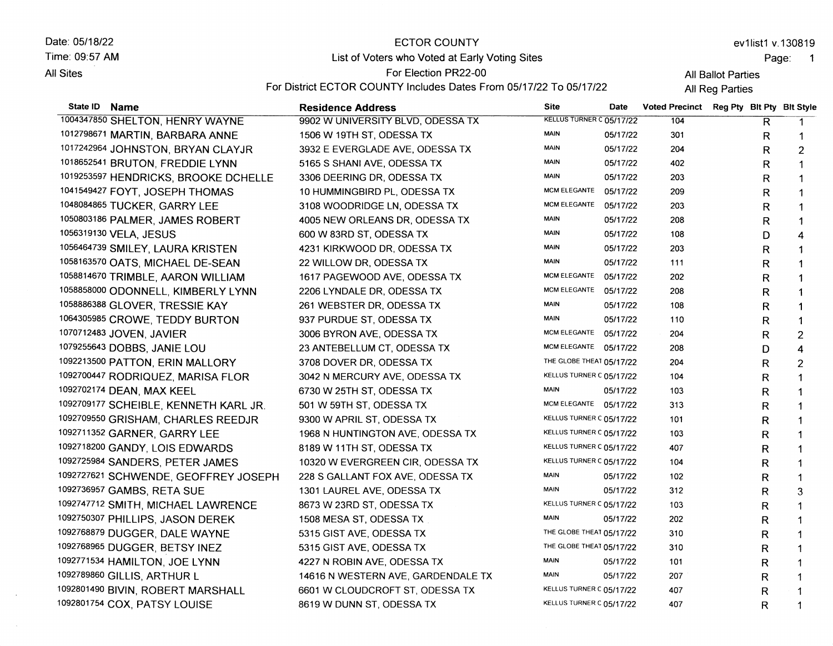Date: 05/18/22 Time: 09:57 AM **All Sites** 

 $\mathcal{L}_{\mathcal{A}}$ 

#### ECTOR COUNTY

ev1list1 v.130819

Page: <sup>1</sup>

# List of Voters who Voted at Early Voting Sites

For Election PR22-00

For District ECTOR COUNTY Includes Dates From 05/17/22 To 05/17/22

All Ballot Parties All Reg Parties

| State ID | Name                                  | <b>Residence Address</b>           | Site                            | <b>Date</b> | <b>Voted Precinct</b> | Reg Pty Bit Pty Bit Style |    |                         |
|----------|---------------------------------------|------------------------------------|---------------------------------|-------------|-----------------------|---------------------------|----|-------------------------|
|          | 1004347850 SHELTON, HENRY WAYNE       | 9902 W UNIVERSITY BLVD, ODESSA TX  | <b>KELLUS TURNER C 05/17/22</b> |             | 104                   |                           | R. |                         |
|          | 1012798671 MARTIN, BARBARA ANNE       | 1506 W 19TH ST, ODESSA TX          | <b>MAIN</b>                     | 05/17/22    | 301                   |                           | R. | $\mathbf 1$             |
|          | 1017242964 JOHNSTON, BRYAN CLAYJR     | 3932 E EVERGLADE AVE, ODESSA TX    | MAIN                            | 05/17/22    | 204                   |                           | R  | $\overline{c}$          |
|          | 1018652541 BRUTON, FREDDIE LYNN       | 5165 S SHANI AVE, ODESSA TX        | <b>MAIN</b>                     | 05/17/22    | 402                   |                           | R  | 1                       |
|          | 1019253597 HENDRICKS, BROOKE DCHELLE  | 3306 DEERING DR, ODESSA TX         | <b>MAIN</b>                     | 05/17/22    | 203                   |                           | R  | 1                       |
|          | 1041549427 FOYT, JOSEPH THOMAS        | 10 HUMMINGBIRD PL, ODESSA TX       | MCM ELEGANTE                    | 05/17/22    | 209                   |                           | R  | 1                       |
|          | 1048084865 TUCKER, GARRY LEE          | 3108 WOODRIDGE LN, ODESSA TX       | <b>MCM ELEGANTE</b>             | 05/17/22    | 203                   |                           | R  | 1                       |
|          | 1050803186 PALMER, JAMES ROBERT       | 4005 NEW ORLEANS DR, ODESSA TX     | <b>MAIN</b>                     | 05/17/22    | 208                   |                           | R  | 1                       |
|          | 1056319130 VELA, JESUS                | 600 W 83RD ST, ODESSA TX           | <b>MAIN</b>                     | 05/17/22    | 108                   |                           | D  | 4                       |
|          | 1056464739 SMILEY, LAURA KRISTEN      | 4231 KIRKWOOD DR, ODESSA TX        | <b>MAIN</b>                     | 05/17/22    | 203                   |                           | R  | 1                       |
|          | 1058163570 OATS, MICHAEL DE-SEAN      | 22 WILLOW DR, ODESSA TX            | <b>MAIN</b>                     | 05/17/22    | 111                   |                           | R  |                         |
|          | 1058814670 TRIMBLE, AARON WILLIAM     | 1617 PAGEWOOD AVE, ODESSA TX       | <b>MCM ELEGANTE</b>             | 05/17/22    | 202                   |                           | R  |                         |
|          | 1058858000 ODONNELL, KIMBERLY LYNN    | 2206 LYNDALE DR, ODESSA TX         | MCM ELEGANTE                    | 05/17/22    | 208                   |                           | R  | 1                       |
|          | 1058886388 GLOVER, TRESSIE KAY        | 261 WEBSTER DR, ODESSA TX          | <b>MAIN</b>                     | 05/17/22    | 108                   |                           | R  | $\mathbf 1$             |
|          | 1064305985 CROWE, TEDDY BURTON        | 937 PURDUE ST, ODESSA TX           | <b>MAIN</b>                     | 05/17/22    | 110                   |                           | R  | 1                       |
|          | 1070712483 JOVEN, JAVIER              | 3006 BYRON AVE, ODESSA TX          | MCM ELEGANTE 05/17/22           |             | 204                   |                           | R  | $\overline{2}$          |
|          | 1079255643 DOBBS, JANIE LOU           | 23 ANTEBELLUM CT, ODESSA TX        | MCM ELEGANTE 05/17/22           |             | 208                   |                           | D  | $\overline{\mathbf{4}}$ |
|          | 1092213500 PATTON, ERIN MALLORY       | 3708 DOVER DR, ODESSA TX           | THE GLOBE THEAT 05/17/22        |             | 204                   |                           | R  | $\overline{2}$          |
|          | 1092700447 RODRIQUEZ, MARISA FLOR     | 3042 N MERCURY AVE, ODESSA TX      | KELLUS TURNER C 05/17/22        |             | 104                   |                           | R  | $\mathbf 1$             |
|          | 1092702174 DEAN, MAX KEEL             | 6730 W 25TH ST, ODESSA TX          | <b>MAIN</b>                     | 05/17/22    | 103                   |                           | R  | 1                       |
|          | 1092709177 SCHEIBLE, KENNETH KARL JR. | 501 W 59TH ST, ODESSA TX           | MCM ELEGANTE 05/17/22           |             | 313                   |                           | R  |                         |
|          | 1092709550 GRISHAM, CHARLES REEDJR    | 9300 W APRIL ST, ODESSA TX         | KELLUS TURNER C 05/17/22        |             | 101                   |                           | R  | 1                       |
|          | 1092711352 GARNER, GARRY LEE          | 1968 N HUNTINGTON AVE, ODESSA TX   | KELLUS TURNER C 05/17/22        |             | 103                   |                           | R  |                         |
|          | 1092718200 GANDY, LOIS EDWARDS        | 8189 W 11TH ST, ODESSA TX          | KELLUS TURNER C 05/17/22        |             | 407                   |                           | R  | 1                       |
|          | 1092725984 SANDERS, PETER JAMES       | 10320 W EVERGREEN CIR, ODESSA TX   | KELLUS TURNER C 05/17/22        |             | 104                   |                           | R  | 1                       |
|          | 1092727621 SCHWENDE, GEOFFREY JOSEPH  | 228 S GALLANT FOX AVE, ODESSA TX   | <b>MAIN</b>                     | 05/17/22    | 102                   |                           | R  |                         |
|          | 1092736957 GAMBS, RETA SUE            | 1301 LAUREL AVE, ODESSA TX         | <b>MAIN</b>                     | 05/17/22    | 312                   |                           | R  | 3                       |
|          | 1092747712 SMITH, MICHAEL LAWRENCE    | 8673 W 23RD ST, ODESSA TX          | KELLUS TURNER C 05/17/22        |             | 103                   |                           | R  | 1                       |
|          | 1092750307 PHILLIPS, JASON DEREK      | 1508 MESA ST, ODESSA TX            | <b>MAIN</b>                     | 05/17/22    | 202                   |                           | R  | 1                       |
|          | 1092768879 DUGGER, DALE WAYNE         | 5315 GIST AVE, ODESSA TX           | THE GLOBE THEAT 05/17/22        |             | 310                   |                           | R  | 1                       |
|          | 1092768965 DUGGER, BETSY INEZ         | 5315 GIST AVE, ODESSA TX           | THE GLOBE THEAT 05/17/22        |             | 310                   |                           | R  | $\mathbf 1$             |
|          | 1092771534 HAMILTON, JOE LYNN         | 4227 N ROBIN AVE, ODESSA TX        | <b>MAIN</b>                     | 05/17/22    | 101                   |                           | R  | 1                       |
|          | 1092789860 GILLIS, ARTHUR L           | 14616 N WESTERN AVE, GARDENDALE TX | MAIN                            | 05/17/22    | 207                   |                           | R  | 1                       |
|          | 1092801490 BIVIN, ROBERT MARSHALL     | 6601 W CLOUDCROFT ST, ODESSA TX    | KELLUS TURNER C 05/17/22        |             | 407                   |                           | R  | 1                       |
|          | 1092801754 COX, PATSY LOUISE          | 8619 W DUNN ST, ODESSA TX          | KELLUS TURNER C 05/17/22        |             | 407                   |                           | R  | 1                       |
|          |                                       |                                    |                                 |             |                       |                           |    |                         |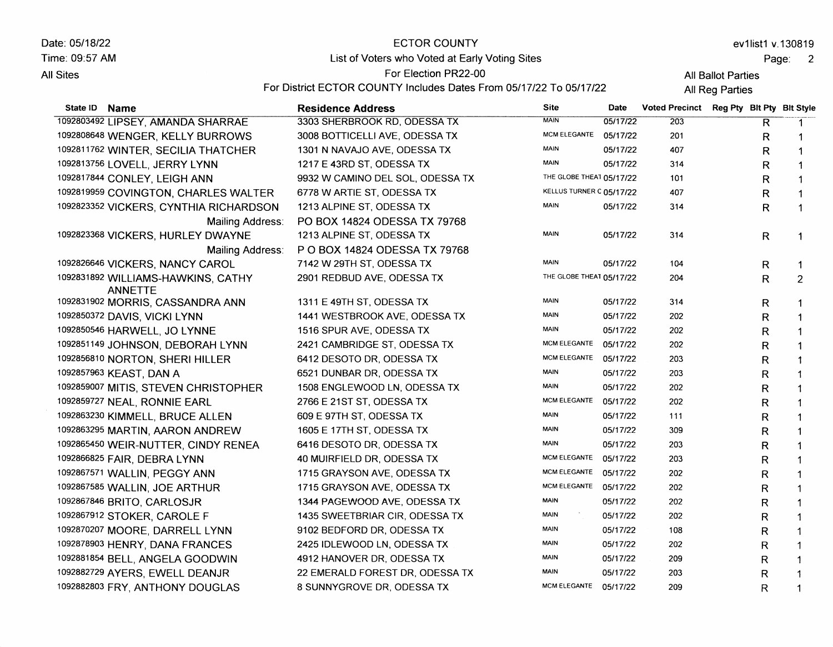Date: 05/18/22 Time: 09:57 AM **All Sites** 

#### ECTOR COUNTY

ev1list1 v.130819

Page: 2

## List of Voters who Voted at Early Voting Sites

For Election PR22-00

For District ECTOR COUNTY Includes Dates From 05/17/22 To 05/17/22

All Ballot Parties All Reg Parties

| State ID Name                                        | <b>Residence Address</b>         | <b>Site</b>              | <b>Date</b> | <b>Voted Precinct</b> |              | Reg Pty Blt Pty Blt Style |
|------------------------------------------------------|----------------------------------|--------------------------|-------------|-----------------------|--------------|---------------------------|
| 1092803492 LIPSEY, AMANDA SHARRAE                    | 3303 SHERBROOK RD, ODESSA TX     | <b>MAIN</b>              | 05/17/22    | 203                   | R            | $\mathbf 1$               |
| 1092808648 WENGER, KELLY BURROWS                     | 3008 BOTTICELLI AVE, ODESSA TX   | MCM ELEGANTE             | 05/17/22    | 201                   | R            | 1                         |
| 1092811762 WINTER, SECILIA THATCHER                  | 1301 N NAVAJO AVE, ODESSA TX     | <b>MAIN</b>              | 05/17/22    | 407                   | R            |                           |
| 1092813756 LOVELL, JERRY LYNN                        | 1217 E 43RD ST, ODESSA TX        | <b>MAIN</b>              | 05/17/22    | 314                   | R            |                           |
| 1092817844 CONLEY, LEIGH ANN                         | 9932 W CAMINO DEL SOL, ODESSA TX | THE GLOBE THEAT 05/17/22 |             | 101                   | R            | 1                         |
| 1092819959 COVINGTON, CHARLES WALTER                 | 6778 W ARTIE ST, ODESSA TX       | KELLUS TURNER C 05/17/22 |             | 407                   | R            | 1                         |
| 1092823352 VICKERS, CYNTHIA RICHARDSON               | 1213 ALPINE ST, ODESSA TX        | <b>MAIN</b>              | 05/17/22    | 314                   | R            | 1                         |
| <b>Mailing Address:</b>                              | PO BOX 14824 ODESSA TX 79768     |                          |             |                       |              |                           |
| 1092823368 VICKERS, HURLEY DWAYNE                    | 1213 ALPINE ST, ODESSA TX        | <b>MAIN</b>              | 05/17/22    | 314                   | R            | 1                         |
| Mailing Address:                                     | P O BOX 14824 ODESSA TX 79768    |                          |             |                       |              |                           |
| 1092826646 VICKERS, NANCY CAROL                      | 7142 W 29TH ST, ODESSA TX        | MAIN                     | 05/17/22    | 104                   | R            | $\mathbf 1$               |
| 1092831892 WILLIAMS-HAWKINS, CATHY<br><b>ANNETTE</b> | 2901 REDBUD AVE, ODESSA TX       | THE GLOBE THEAT 05/17/22 |             | 204                   | R            | $\overline{2}$            |
| 1092831902 MORRIS, CASSANDRA ANN                     | 1311 E 49TH ST, ODESSA TX        | MAIN                     | 05/17/22    | 314                   | R            | 1                         |
| 1092850372 DAVIS, VICKI LYNN                         | 1441 WESTBROOK AVE, ODESSA TX    | <b>MAIN</b>              | 05/17/22    | 202                   | R            | $\mathbf{1}$              |
| 1092850546 HARWELL, JO LYNNE                         | 1516 SPUR AVE, ODESSA TX         | <b>MAIN</b>              | 05/17/22    | 202                   | R            | $\mathbf 1$               |
| 1092851149 JOHNSON, DEBORAH LYNN                     | 2421 CAMBRIDGE ST, ODESSA TX     | MCM ELEGANTE             | 05/17/22    | 202                   | R            | $\mathbf 1$               |
| 1092856810 NORTON, SHERI HILLER                      | 6412 DESOTO DR, ODESSA TX        | <b>MCM ELEGANTE</b>      | 05/17/22    | 203                   | R            | $\mathbf 1$               |
| 1092857963 KEAST, DAN A                              | 6521 DUNBAR DR, ODESSA TX        | <b>MAIN</b>              | 05/17/22    | 203                   | R            | 1                         |
| 1092859007 MITIS, STEVEN CHRISTOPHER                 | 1508 ENGLEWOOD LN, ODESSA TX     | <b>MAIN</b>              | 05/17/22    | 202                   | R            | 1                         |
| 1092859727 NEAL, RONNIE EARL                         | 2766 E 21ST ST, ODESSA TX        | MCM ELEGANTE             | 05/17/22    | 202                   | R            | -1                        |
| 1092863230 KIMMELL, BRUCE ALLEN                      | 609 E 97TH ST, ODESSA TX         | <b>MAIN</b>              | 05/17/22    | 111                   | R            | 1                         |
| 1092863295 MARTIN, AARON ANDREW                      | 1605 E 17TH ST, ODESSA TX        | <b>MAIN</b>              | 05/17/22    | 309                   | R            | 1                         |
| 1092865450 WEIR-NUTTER, CINDY RENEA                  | 6416 DESOTO DR, ODESSA TX        | <b>MAIN</b>              | 05/17/22    | 203                   | R            | 1                         |
| 1092866825 FAIR, DEBRA LYNN                          | 40 MUIRFIELD DR, ODESSA TX       | <b>MCM ELEGANTE</b>      | 05/17/22    | 203                   | R            | 1                         |
| 1092867571 WALLIN, PEGGY ANN                         | 1715 GRAYSON AVE, ODESSA TX      | <b>MCM ELEGANTE</b>      | 05/17/22    | 202                   | R            | 1                         |
| 1092867585 WALLIN, JOE ARTHUR                        | 1715 GRAYSON AVE, ODESSA TX      | <b>MCM ELEGANTE</b>      | 05/17/22    | 202                   | R            | $\mathbf 1$               |
| 1092867846 BRITO, CARLOSJR                           | 1344 PAGEWOOD AVE, ODESSA TX     | <b>MAIN</b>              | 05/17/22    | 202                   | R            | 1                         |
| 1092867912 STOKER, CAROLE F                          | 1435 SWEETBRIAR CIR, ODESSA TX   | <b>MAIN</b>              | 05/17/22    | 202                   | R            |                           |
| 1092870207 MOORE, DARRELL LYNN                       | 9102 BEDFORD DR, ODESSA TX       | MAIN                     | 05/17/22    | 108                   | R            |                           |
| 1092878903 HENRY, DANA FRANCES                       | 2425 IDLEWOOD LN, ODESSA TX      | <b>MAIN</b>              | 05/17/22    | 202                   | R            |                           |
| 1092881854 BELL, ANGELA GOODWIN                      | 4912 HANOVER DR, ODESSA TX       | MAIN                     | 05/17/22    | 209                   | R            | 1                         |
| 1092882729 AYERS, EWELL DEANJR                       | 22 EMERALD FOREST DR, ODESSA TX  | <b>MAIN</b>              | 05/17/22    | 203                   | R            |                           |
| 1092882803 FRY, ANTHONY DOUGLAS                      | 8 SUNNYGROVE DR, ODESSA TX       | MCM ELEGANTE 05/17/22    |             | 209                   | $\mathsf{R}$ |                           |
|                                                      |                                  |                          |             |                       |              |                           |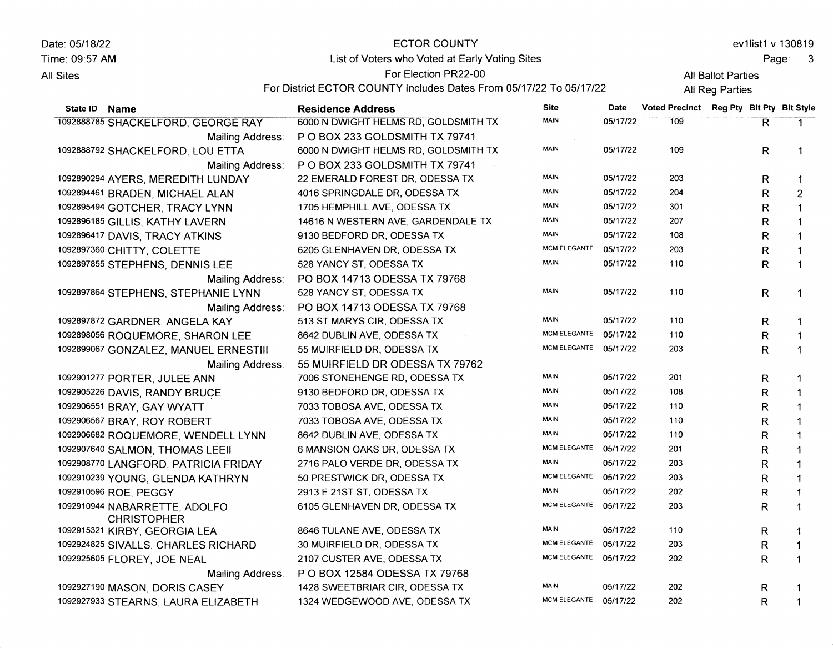| Date: 05/18/22   |                                                     | <b>ECTOR COUNTY</b>                                                |                       |          |                                          |                    |              | ev1list1 v.130819          |
|------------------|-----------------------------------------------------|--------------------------------------------------------------------|-----------------------|----------|------------------------------------------|--------------------|--------------|----------------------------|
| Time: 09:57 AM   |                                                     | List of Voters who Voted at Early Voting Sites                     |                       |          |                                          |                    | Page:        | $\overline{\phantom{a}}$ 3 |
| <b>All Sites</b> |                                                     | For Election PR22-00                                               |                       |          |                                          | All Ballot Parties |              |                            |
|                  |                                                     | For District ECTOR COUNTY Includes Dates From 05/17/22 To 05/17/22 |                       |          |                                          | All Reg Parties    |              |                            |
| State ID Name    |                                                     | <b>Residence Address</b>                                           | <b>Site</b>           | Date     | Voted Precinct Reg Pty Blt Pty Blt Style |                    |              |                            |
|                  | 1092888785 SHACKELFORD, GEORGE RAY                  | 6000 N DWIGHT HELMS RD, GOLDSMITH TX                               | <b>MAIN</b>           | 05/17/22 | 109                                      |                    | R            | $\mathbf 1$                |
|                  | Mailing Address:                                    | PO BOX 233 GOLDSMITH TX 79741                                      |                       |          |                                          |                    |              |                            |
|                  | 1092888792 SHACKELFORD, LOU ETTA                    | 6000 N DWIGHT HELMS RD, GOLDSMITH TX                               | <b>MAIN</b>           | 05/17/22 | 109                                      |                    | R            | $\mathbf 1$                |
|                  | Mailing Address:                                    | PO BOX 233 GOLDSMITH TX 79741                                      |                       |          |                                          |                    |              |                            |
|                  | 1092890294 AYERS, MEREDITH LUNDAY                   | 22 EMERALD FOREST DR, ODESSA TX                                    | <b>MAIN</b>           | 05/17/22 | 203                                      |                    | R.           |                            |
|                  | 1092894461 BRADEN, MICHAEL ALAN                     | 4016 SPRINGDALE DR, ODESSA TX                                      | <b>MAIN</b>           | 05/17/22 | 204                                      |                    | R            | $\overline{c}$             |
|                  | 1092895494 GOTCHER, TRACY LYNN                      | 1705 HEMPHILL AVE, ODESSA TX                                       | <b>MAIN</b>           | 05/17/22 | 301                                      |                    | R            |                            |
|                  | 1092896185 GILLIS, KATHY LAVERN                     | 14616 N WESTERN AVE, GARDENDALE TX                                 | MAIN                  | 05/17/22 | 207                                      |                    | R            | 1                          |
|                  | 1092896417 DAVIS, TRACY ATKINS                      | 9130 BEDFORD DR, ODESSA TX                                         | <b>MAIN</b>           | 05/17/22 | 108                                      |                    | R            | 1                          |
|                  | 1092897360 CHITTY, COLETTE                          | 6205 GLENHAVEN DR, ODESSA TX                                       | <b>MCM ELEGANTE</b>   | 05/17/22 | 203                                      |                    | R            | 1                          |
|                  | 1092897855 STEPHENS, DENNIS LEE                     | 528 YANCY ST, ODESSA TX                                            | <b>MAIN</b>           | 05/17/22 | 110                                      |                    | R            | 1                          |
|                  | Mailing Address:                                    | PO BOX 14713 ODESSA TX 79768                                       |                       |          |                                          |                    |              |                            |
|                  | 1092897864 STEPHENS, STEPHANIE LYNN                 | 528 YANCY ST, ODESSA TX                                            | <b>MAIN</b>           | 05/17/22 | 110                                      |                    | R            | 1                          |
|                  | Mailing Address:                                    | PO BOX 14713 ODESSA TX 79768                                       |                       |          |                                          |                    |              |                            |
|                  | 1092897872 GARDNER, ANGELA KAY                      | 513 ST MARYS CIR, ODESSA TX                                        | <b>MAIN</b>           | 05/17/22 | 110                                      |                    | R.           | 1                          |
|                  | 1092898056 ROQUEMORE, SHARON LEE                    | 8642 DUBLIN AVE, ODESSA TX                                         | <b>MCM ELEGANTE</b>   | 05/17/22 | 110                                      |                    | R            | -1                         |
|                  | 1092899067 GONZALEZ, MANUEL ERNESTIII               | 55 MUIRFIELD DR, ODESSA TX                                         | <b>MCM ELEGANTE</b>   | 05/17/22 | 203                                      |                    | R            | $\mathbf 1$                |
|                  | Mailing Address:                                    | 55 MUIRFIELD DR ODESSA TX 79762                                    |                       |          |                                          |                    |              |                            |
|                  | 1092901277 PORTER, JULEE ANN                        | 7006 STONEHENGE RD, ODESSA TX                                      | <b>MAIN</b>           | 05/17/22 | 201                                      |                    | R            |                            |
|                  | 1092905226 DAVIS, RANDY BRUCE                       | 9130 BEDFORD DR, ODESSA TX                                         | MAIN                  | 05/17/22 | 108                                      |                    | R            |                            |
|                  | 1092906551 BRAY, GAY WYATT                          | 7033 TOBOSA AVE, ODESSA TX                                         | <b>MAIN</b>           | 05/17/22 | 110                                      |                    | R            |                            |
|                  | 1092906567 BRAY, ROY ROBERT                         | 7033 TOBOSA AVE, ODESSA TX                                         | MAIN                  | 05/17/22 | 110                                      |                    | R            |                            |
|                  | 1092906682 ROQUEMORE, WENDELL LYNN                  | 8642 DUBLIN AVE, ODESSA TX                                         | MAIN                  | 05/17/22 | 110                                      |                    | R            |                            |
|                  | 1092907640 SALMON, THOMAS LEEII                     | 6 MANSION OAKS DR, ODESSA TX                                       | MCM ELEGANTE          | 05/17/22 | 201                                      |                    | R            | -1                         |
|                  | 1092908770 LANGFORD, PATRICIA FRIDAY                | 2716 PALO VERDE DR, ODESSA TX                                      | <b>MAIN</b>           | 05/17/22 | 203                                      |                    | R            |                            |
|                  | 1092910239 YOUNG, GLENDA KATHRYN                    | 50 PRESTWICK DR, ODESSA TX                                         | <b>MCM ELEGANTE</b>   | 05/17/22 | 203                                      |                    | R            |                            |
|                  | 1092910596 ROE, PEGGY                               | 2913 E 21ST ST, ODESSA TX                                          | <b>MAIN</b>           | 05/17/22 | 202                                      |                    | R            |                            |
|                  | 1092910944 NABARRETTE, ADOLFO<br><b>CHRISTOPHER</b> | 6105 GLENHAVEN DR, ODESSA TX                                       | MCM ELEGANTE 05/17/22 |          | 203                                      |                    | $\mathsf{R}$ |                            |
|                  | 1092915321 KIRBY, GEORGIA LEA                       | 8646 TULANE AVE, ODESSA TX                                         | <b>MAIN</b>           | 05/17/22 | 110                                      |                    | R            |                            |
|                  | 1092924825 SIVALLS, CHARLES RICHARD                 | 30 MUIRFIELD DR, ODESSA TX                                         | MCM ELEGANTE          | 05/17/22 | 203                                      |                    | R            |                            |
|                  | 1092925605 FLOREY, JOE NEAL                         | 2107 CUSTER AVE, ODESSA TX                                         | <b>MCM ELEGANTE</b>   | 05/17/22 | 202                                      |                    | R            |                            |
|                  | Mailing Address:                                    | P O BOX 12584 ODESSA TX 79768                                      |                       |          |                                          |                    |              |                            |
|                  | 1092927190 MASON, DORIS CASEY                       | 1428 SWEETBRIAR CIR, ODESSA TX                                     | <b>MAIN</b>           | 05/17/22 | 202                                      |                    | R            |                            |
|                  | 1092927933 STEARNS, LAURA ELIZABETH                 | 1324 WEDGEWOOD AVE, ODESSA TX                                      | MCM ELEGANTE 05/17/22 |          | 202                                      |                    | R            |                            |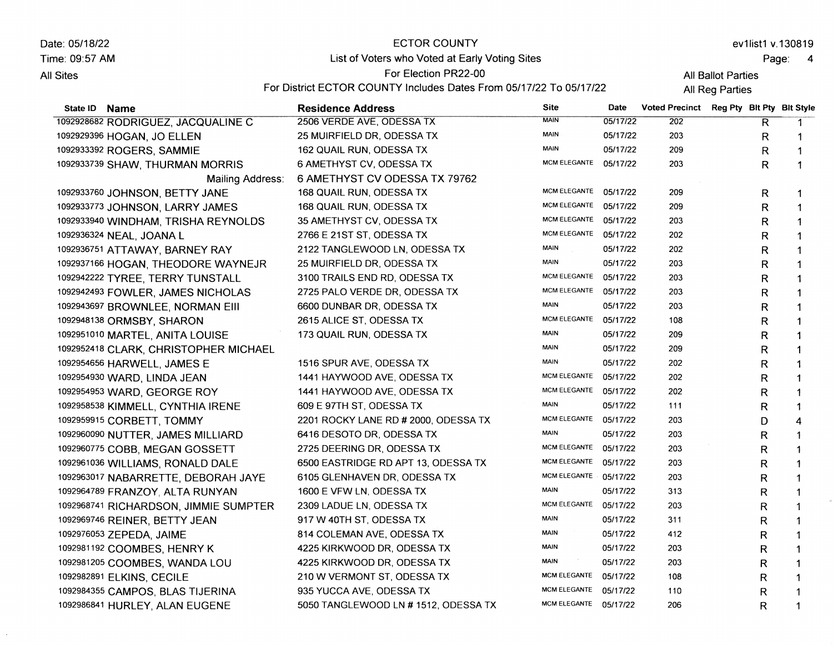Date: 05/18/22 Time. 09:57 AM **All Sites** 

### **ECTOR COUNTY**

ev1list1 v.130819

Page: <sup>4</sup>

List of Voters who Voted at Early Voting Sites For Election PR22-00

All Ballot Parties

For District ECTOR COUNTY Includes Dates From 05/17/22 To 05/17/22

All Reg Parties

| State ID Name                         | <b>Residence Address</b>             | <b>Site</b>           | <b>Date</b> | Voted Precinct Reg Pty Blt Pty Blt Style |   |              |
|---------------------------------------|--------------------------------------|-----------------------|-------------|------------------------------------------|---|--------------|
| 1092928682 RODRIGUEZ, JACQUALINE C    | 2506 VERDE AVE, ODESSA TX            | <b>MAIN</b>           | 05/17/22    | 202                                      | R |              |
| 1092929396 HOGAN, JO ELLEN            | 25 MUIRFIELD DR, ODESSA TX           | <b>MAIN</b>           | 05/17/22    | 203                                      | R | 1            |
| 1092933392 ROGERS, SAMMIE             | 162 QUAIL RUN, ODESSA TX             | MAIN                  | 05/17/22    | 209                                      | R | 1            |
| 1092933739 SHAW, THURMAN MORRIS       | 6 AMETHYST CV, ODESSA TX             | MCM ELEGANTE 05/17/22 |             | 203                                      | R | $\mathbf 1$  |
| Mailing Address:                      | 6 AMETHYST CV ODESSA TX 79762        |                       |             |                                          |   |              |
| 1092933760 JOHNSON, BETTY JANE        | 168 QUAIL RUN, ODESSA TX             | MCM ELEGANTE 05/17/22 |             | 209                                      | R | 1            |
| 1092933773 JOHNSON, LARRY JAMES       | 168 QUAIL RUN, ODESSA TX             | MCM ELEGANTE 05/17/22 |             | 209                                      | R | 1            |
| 1092933940 WINDHAM, TRISHA REYNOLDS   | 35 AMETHYST CV, ODESSA TX            | MCM ELEGANTE 05/17/22 |             | 203                                      | R | $\mathbf{1}$ |
| 1092936324 NEAL, JOANA L              | 2766 E 21ST ST, ODESSA TX            | MCM ELEGANTE 05/17/22 |             | 202                                      | R | 1            |
| 1092936751 ATTAWAY, BARNEY RAY        | 2122 TANGLEWOOD LN, ODESSA TX        | <b>MAIN</b>           | 05/17/22    | 202                                      | R | 1            |
| 1092937166 HOGAN, THEODORE WAYNEJR    | 25 MUIRFIELD DR, ODESSA TX           | <b>MAIN</b>           | 05/17/22    | 203                                      | R | 1            |
| 1092942222 TYREE, TERRY TUNSTALL      | 3100 TRAILS END RD, ODESSA TX        | <b>MCM ELEGANTE</b>   | 05/17/22    | 203                                      | R | 1            |
| 1092942493 FOWLER, JAMES NICHOLAS     | 2725 PALO VERDE DR, ODESSA TX        | MCM ELEGANTE 05/17/22 |             | 203                                      | R | 1            |
| 1092943697 BROWNLEE, NORMAN EIII      | 6600 DUNBAR DR, ODESSA TX            | <b>MAIN</b>           | 05/17/22    | 203                                      | R | 1            |
| 1092948138 ORMSBY, SHARON             | 2615 ALICE ST, ODESSA TX             | <b>MCM ELEGANTE</b>   | 05/17/22    | 108                                      | R |              |
| 1092951010 MARTEL, ANITA LOUISE       | 173 QUAIL RUN, ODESSA TX             | <b>MAIN</b>           | 05/17/22    | 209                                      | R | 1            |
| 1092952418 CLARK, CHRISTOPHER MICHAEL |                                      | <b>MAIN</b>           | 05/17/22    | 209                                      | R | 1            |
| 1092954656 HARWELL, JAMES E           | 1516 SPUR AVE, ODESSA TX             | <b>MAIN</b>           | 05/17/22    | 202                                      | R | 1            |
| 1092954930 WARD, LINDA JEAN           | 1441 HAYWOOD AVE, ODESSA TX          | <b>MCM ELEGANTE</b>   | 05/17/22    | 202                                      | R | 1            |
| 1092954953 WARD, GEORGE ROY           | 1441 HAYWOOD AVE, ODESSA TX          | MCM ELEGANTE 05/17/22 |             | 202                                      | R | 1            |
| 1092958538 KIMMELL, CYNTHIA IRENE     | 609 E 97TH ST, ODESSA TX             | <b>MAIN</b>           | 05/17/22    | 111                                      | R | 1            |
| 1092959915 CORBETT, TOMMY             | 2201 ROCKY LANE RD # 2000, ODESSA TX | <b>MCM ELEGANTE</b>   | 05/17/22    | 203                                      | D | 4            |
| 1092960090 NUTTER, JAMES MILLIARD     | 6416 DESOTO DR, ODESSA TX            | <b>MAIN</b>           | 05/17/22    | 203                                      | R | 1            |
| 1092960775 COBB, MEGAN GOSSETT        | 2725 DEERING DR, ODESSA TX           | MCM ELEGANTE 05/17/22 |             | 203                                      | R | 1            |
| 1092961036 WILLIAMS, RONALD DALE      | 6500 EASTRIDGE RD APT 13, ODESSA TX  | MCM ELEGANTE 05/17/22 |             | 203                                      | R | $\mathbf{1}$ |
| 1092963017 NABARRETTE, DEBORAH JAYE   | 6105 GLENHAVEN DR, ODESSA TX         | MCM ELEGANTE 05/17/22 |             | 203                                      | R | 1            |
| 1092964789 FRANZOY, ALTA RUNYAN       | 1600 E VFW LN, ODESSA TX             | MAIN                  | 05/17/22    | 313                                      | R | 1            |
| 1092968741 RICHARDSON, JIMMIE SUMPTER | 2309 LADUE LN, ODESSA TX             | MCM ELEGANTE          | 05/17/22    | 203                                      | R |              |
| 1092969746 REINER, BETTY JEAN         | 917 W 40TH ST, ODESSA TX             | MAIN                  | 05/17/22    | 311                                      | R | 1            |
| 1092976053 ZEPEDA, JAIME              | 814 COLEMAN AVE, ODESSA TX           | <b>MAIN</b>           | 05/17/22    | 412                                      | R | 1            |
| 1092981192 COOMBES, HENRY K           | 4225 KIRKWOOD DR, ODESSA TX          | MAIN                  | 05/17/22    | 203                                      | R | 1            |
| 1092981205 COOMBES, WANDA LOU         | 4225 KIRKWOOD DR, ODESSA TX          | <b>MAIN</b>           | 05/17/22    | 203                                      | R | 1            |
| 1092982891 ELKINS, CECILE             | 210 W VERMONT ST, ODESSA TX          | <b>MCM ELEGANTE</b>   | 05/17/22    | 108                                      | R | 1            |
| 1092984355 CAMPOS, BLAS TIJERINA      | 935 YUCCA AVE, ODESSA TX             | MCM ELEGANTE          | 05/17/22    | 110                                      | R | 1            |
| 1092986841 HURLEY, ALAN EUGENE        | 5050 TANGLEWOOD LN # 1512, ODESSA TX | MCM ELEGANTE 05/17/22 |             | 206                                      | R | 1            |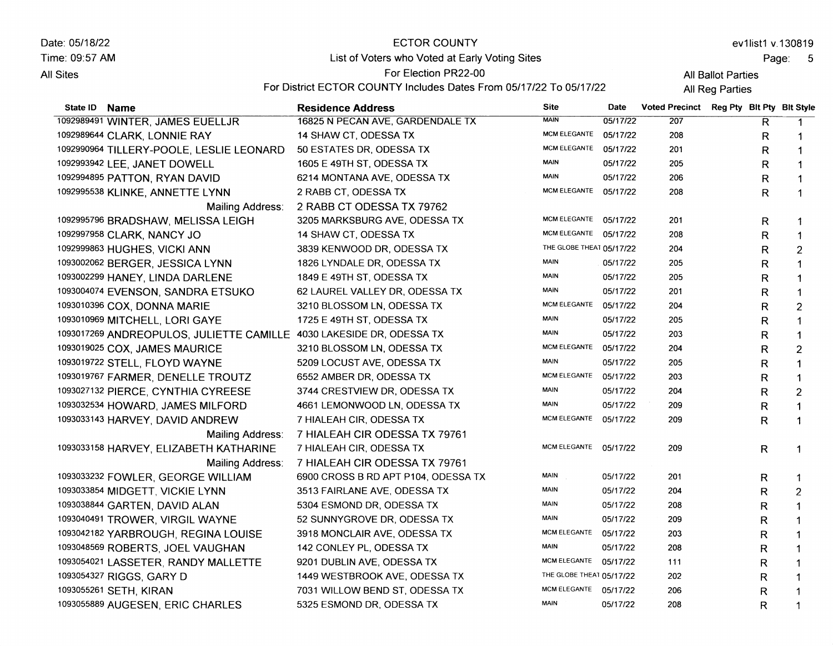| Date: 05/18/22   |                                                                      | <b>ECTOR COUNTY</b>                                                |                          |          |                                          |                 |                         | ev1list1 v.130819 |
|------------------|----------------------------------------------------------------------|--------------------------------------------------------------------|--------------------------|----------|------------------------------------------|-----------------|-------------------------|-------------------|
| Time: 09:57 AM   |                                                                      | List of Voters who Voted at Early Voting Sites                     |                          | Page:    |                                          |                 |                         | $-5$              |
| <b>All Sites</b> |                                                                      | For Election PR22-00                                               | All Ballot Parties       |          |                                          |                 |                         |                   |
|                  |                                                                      | For District ECTOR COUNTY Includes Dates From 05/17/22 To 05/17/22 |                          |          |                                          | All Reg Parties |                         |                   |
| State ID         | <b>Name</b>                                                          | <b>Residence Address</b>                                           | <b>Site</b>              | Date     | Voted Precinct Reg Pty Blt Pty Blt Style |                 |                         |                   |
|                  | 1092989491 WINTER, JAMES EUELLJR                                     | 16825 N PECAN AVE, GARDENDALE TX                                   | <b>MAIN</b>              | 05/17/22 | 207                                      |                 | $\overline{\mathsf{R}}$ | $\mathbf 1$       |
|                  | 1092989644 CLARK, LONNIE RAY                                         | 14 SHAW CT, ODESSA TX                                              | <b>MCM ELEGANTE</b>      | 05/17/22 | 208                                      |                 | R                       | 1                 |
|                  | 1092990964 TILLERY-POOLE, LESLIE LEONARD                             | 50 ESTATES DR, ODESSA TX                                           | <b>MCM ELEGANTE</b>      | 05/17/22 | 201                                      |                 | R                       | 1                 |
|                  | 1092993942 LEE, JANET DOWELL                                         | 1605 E 49TH ST, ODESSA TX                                          | <b>MAIN</b>              | 05/17/22 | 205                                      |                 | R                       | 1                 |
|                  | 1092994895 PATTON, RYAN DAVID                                        | 6214 MONTANA AVE, ODESSA TX                                        | <b>MAIN</b>              | 05/17/22 | 206                                      |                 | R                       | 1                 |
|                  | 1092995538 KLINKE, ANNETTE LYNN                                      | 2 RABB CT, ODESSA TX                                               | MCM ELEGANTE 05/17/22    |          | 208                                      |                 | R                       | $\mathbf{1}$      |
|                  | Mailing Address:                                                     | 2 RABB CT ODESSA TX 79762                                          |                          |          |                                          |                 |                         |                   |
|                  | 1092995796 BRADSHAW, MELISSA LEIGH                                   | 3205 MARKSBURG AVE, ODESSA TX                                      | <b>MCM ELEGANTE</b>      | 05/17/22 | 201                                      |                 | R                       | 1                 |
|                  | 1092997958 CLARK, NANCY JO                                           | 14 SHAW CT, ODESSA TX                                              | MCM ELEGANTE 05/17/22    |          | 208                                      |                 | R                       | $\mathbf{1}$      |
|                  | 1092999863 HUGHES, VICKI ANN                                         | 3839 KENWOOD DR, ODESSA TX                                         | THE GLOBE THEAT 05/17/22 |          | 204                                      |                 | $\mathsf{R}$            | $\overline{c}$    |
|                  | 1093002062 BERGER, JESSICA LYNN                                      | 1826 LYNDALE DR, ODESSA TX                                         | <b>MAIN</b>              | 05/17/22 | 205                                      |                 | $\mathsf R$             | $\mathbf{1}$      |
|                  | 1093002299 HANEY, LINDA DARLENE                                      | 1849 E 49TH ST, ODESSA TX                                          | MAIN                     | 05/17/22 | 205                                      |                 | $\mathsf R$             | $\mathbf{1}$      |
|                  | 1093004074 EVENSON, SANDRA ETSUKO                                    | 62 LAUREL VALLEY DR, ODESSA TX                                     | MAIN                     | 05/17/22 | 201                                      |                 | $\mathsf{R}$            | $\mathbf{1}$      |
|                  | 1093010396 COX, DONNA MARIE                                          | 3210 BLOSSOM LN, ODESSA TX                                         | MCM ELEGANTE             | 05/17/22 | 204                                      |                 | $\mathsf{R}$            | $\overline{c}$    |
|                  | 1093010969 MITCHELL, LORI GAYE                                       | 1725 E 49TH ST, ODESSA TX                                          | <b>MAIN</b>              | 05/17/22 | 205                                      |                 | R                       | 1                 |
|                  | 1093017269 ANDREOPULOS, JULIETTE CAMILLE 4030 LAKESIDE DR, ODESSA TX |                                                                    | <b>MAIN</b>              | 05/17/22 | 203                                      |                 | R                       | $\mathbf{1}$      |
|                  | 1093019025 COX, JAMES MAURICE                                        | 3210 BLOSSOM LN, ODESSA TX                                         | <b>MCM ELEGANTE</b>      | 05/17/22 | 204                                      |                 | R                       | $\overline{2}$    |
|                  | 1093019722 STELL, FLOYD WAYNE                                        | 5209 LOCUST AVE, ODESSA TX                                         | MAIN                     | 05/17/22 | 205                                      |                 | R                       | 1                 |
|                  | 1093019767 FARMER, DENELLE TROUTZ                                    | 6552 AMBER DR, ODESSA TX                                           | <b>MCM ELEGANTE</b>      | 05/17/22 | 203                                      |                 | R                       | 1                 |
|                  | 1093027132 PIERCE, CYNTHIA CYREESE                                   | 3744 CRESTVIEW DR, ODESSA TX                                       | <b>MAIN</b>              | 05/17/22 | 204                                      |                 | R                       | $\overline{2}$    |
|                  | 1093032534 HOWARD, JAMES MILFORD                                     | 4661 LEMONWOOD LN, ODESSA TX                                       | MAIN                     | 05/17/22 | 209                                      |                 | R                       | 1                 |
|                  | 1093033143 HARVEY, DAVID ANDREW                                      | 7 HIALEAH CIR, ODESSA TX                                           | MCM ELEGANTE 05/17/22    |          | 209                                      |                 | R                       | 1                 |
|                  | Mailing Address:                                                     | 7 HIALEAH CIR ODESSA TX 79761                                      |                          |          |                                          |                 |                         |                   |
|                  | 1093033158 HARVEY, ELIZABETH KATHARINE                               | 7 HIALEAH CIR, ODESSA TX                                           | MCM ELEGANTE 05/17/22    |          | 209                                      |                 | $\mathsf{R}$            | 1                 |
|                  | Mailing Address:                                                     | 7 HIALEAH CIR ODESSA TX 79761                                      |                          |          |                                          |                 |                         |                   |
|                  | 1093033232 FOWLER, GEORGE WILLIAM                                    | 6900 CROSS B RD APT P104, ODESSA TX                                | MAIN                     | 05/17/22 | 201                                      |                 | R                       | 1                 |
|                  | 1093033854 MIDGETT, VICKIE LYNN                                      | 3513 FAIRLANE AVE, ODESSA TX                                       | <b>MAIN</b>              | 05/17/22 | 204                                      |                 | $\mathsf R$             | $\overline{2}$    |
|                  | 1093038844 GARTEN, DAVID ALAN                                        | 5304 ESMOND DR, ODESSA TX                                          | MAIN                     | 05/17/22 | 208                                      |                 | $\mathsf{R}$            | $\mathbf{1}$      |
|                  | 1093040491 TROWER, VIRGIL WAYNE                                      | 52 SUNNYGROVE DR, ODESSA TX                                        | MAIN                     | 05/17/22 | 209                                      |                 | $\mathsf{R}$            | 1                 |
|                  | 1093042182 YARBROUGH, REGINA LOUISE                                  | 3918 MONCLAIR AVE, ODESSA TX                                       | <b>MCM ELEGANTE</b>      | 05/17/22 | 203                                      |                 | $\mathsf{R}$            |                   |
|                  | 1093048569 ROBERTS, JOEL VAUGHAN                                     | 142 CONLEY PL, ODESSA TX                                           | MAIN                     | 05/17/22 | 208                                      |                 | R                       | 1                 |

MCMELEGANTE 05117122 THE GLOBE THEAT 05/17/22 MCM ELEGANTE 05/17/22 MAIN 05/17/22

R R R R

DUBLIN AVE, ODESSA TX 1449 WESTBROOK AVE, ODESSA TX WILLOW BEND ST, ODESSA TX ESMOND DR, ODESSA TX

1093048569 ROBERTS, JOEL VAUGHAN 1093054021 LASSETER, RANDY MALLETTE 10e30s4327 RIGGS, GARY D 10s305s261 SETH, KIRAN

,1093055889 AUGESEN, ERIC CHARLES